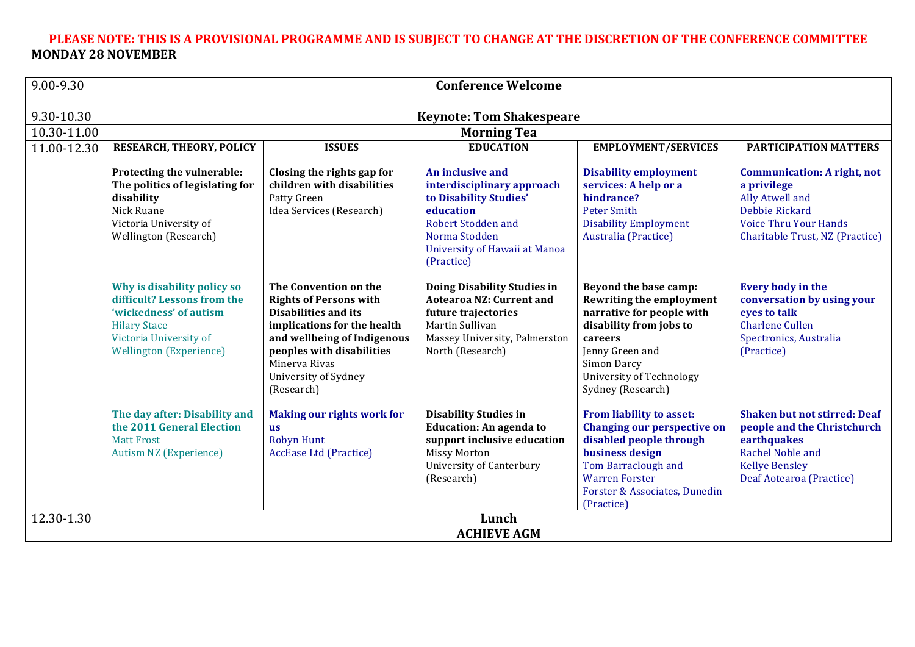### PLEASE NOTE: THIS IS A PROVISIONAL PROGRAMME AND IS SUBJECT TO CHANGE AT THE DISCRETION OF THE CONFERENCE COMMITTEE **MONDAY 28 NOVEMBER**

| 9.00-9.30   | <b>Conference Welcome</b>                                                                                                                                               |                                                                                                                                                                                                                                         |                                                                                                                                                                                    |                                                                                                                                                                                                                |                                                                                                                                                                   |  |
|-------------|-------------------------------------------------------------------------------------------------------------------------------------------------------------------------|-----------------------------------------------------------------------------------------------------------------------------------------------------------------------------------------------------------------------------------------|------------------------------------------------------------------------------------------------------------------------------------------------------------------------------------|----------------------------------------------------------------------------------------------------------------------------------------------------------------------------------------------------------------|-------------------------------------------------------------------------------------------------------------------------------------------------------------------|--|
| 9.30-10.30  | <b>Keynote: Tom Shakespeare</b>                                                                                                                                         |                                                                                                                                                                                                                                         |                                                                                                                                                                                    |                                                                                                                                                                                                                |                                                                                                                                                                   |  |
| 10.30-11.00 | <b>Morning Tea</b>                                                                                                                                                      |                                                                                                                                                                                                                                         |                                                                                                                                                                                    |                                                                                                                                                                                                                |                                                                                                                                                                   |  |
| 11.00-12.30 | RESEARCH, THEORY, POLICY                                                                                                                                                | <b>ISSUES</b>                                                                                                                                                                                                                           | <b>EDUCATION</b>                                                                                                                                                                   | <b>EMPLOYMENT/SERVICES</b>                                                                                                                                                                                     | <b>PARTICIPATION MATTERS</b>                                                                                                                                      |  |
|             | Protecting the vulnerable:<br>The politics of legislating for<br>disability<br>Nick Ruane<br>Victoria University of<br>Wellington (Research)                            | Closing the rights gap for<br>children with disabilities<br>Patty Green<br>Idea Services (Research)                                                                                                                                     | An inclusive and<br>interdisciplinary approach<br>to Disability Studies'<br>education<br><b>Robert Stodden and</b><br>Norma Stodden<br>University of Hawaii at Manoa<br>(Practice) | <b>Disability employment</b><br>services: A help or a<br>hindrance?<br><b>Peter Smith</b><br><b>Disability Employment</b><br>Australia (Practice)                                                              | <b>Communication: A right, not</b><br>a privilege<br>Ally Atwell and<br>Debbie Rickard<br><b>Voice Thru Your Hands</b><br>Charitable Trust, NZ (Practice)         |  |
|             | Why is disability policy so<br>difficult? Lessons from the<br>'wickedness' of autism<br><b>Hilary Stace</b><br>Victoria University of<br><b>Wellington (Experience)</b> | The Convention on the<br><b>Rights of Persons with</b><br><b>Disabilities and its</b><br>implications for the health<br>and wellbeing of Indigenous<br>peoples with disabilities<br>Minerva Rivas<br>University of Sydney<br>(Research) | Doing Disability Studies in<br><b>Aotearoa NZ: Current and</b><br>future trajectories<br>Martin Sullivan<br>Massey University, Palmerston<br>North (Research)                      | Beyond the base camp:<br><b>Rewriting the employment</b><br>narrative for people with<br>disability from jobs to<br>careers<br>Jenny Green and<br>Simon Darcy<br>University of Technology<br>Sydney (Research) | Every body in the<br>conversation by using your<br>eyes to talk<br><b>Charlene Cullen</b><br>Spectronics, Australia<br>(Practice)                                 |  |
|             | The day after: Disability and<br>the 2011 General Election<br><b>Matt Frost</b><br><b>Autism NZ (Experience)</b>                                                        | <b>Making our rights work for</b><br><b>us</b><br>Robyn Hunt<br><b>AccEase Ltd (Practice)</b>                                                                                                                                           | <b>Disability Studies in</b><br><b>Education: An agenda to</b><br>support inclusive education<br><b>Missy Morton</b><br>University of Canterbury<br>(Research)                     | From liability to asset:<br><b>Changing our perspective on</b><br>disabled people through<br>business design<br>Tom Barraclough and<br><b>Warren Forster</b><br>Forster & Associates, Dunedin<br>(Practice)    | <b>Shaken but not stirred: Deaf</b><br>people and the Christchurch<br>earthquakes<br><b>Rachel Noble and</b><br><b>Kellye Bensley</b><br>Deaf Aotearoa (Practice) |  |
| 12.30-1.30  | Lunch<br><b>ACHIEVE AGM</b>                                                                                                                                             |                                                                                                                                                                                                                                         |                                                                                                                                                                                    |                                                                                                                                                                                                                |                                                                                                                                                                   |  |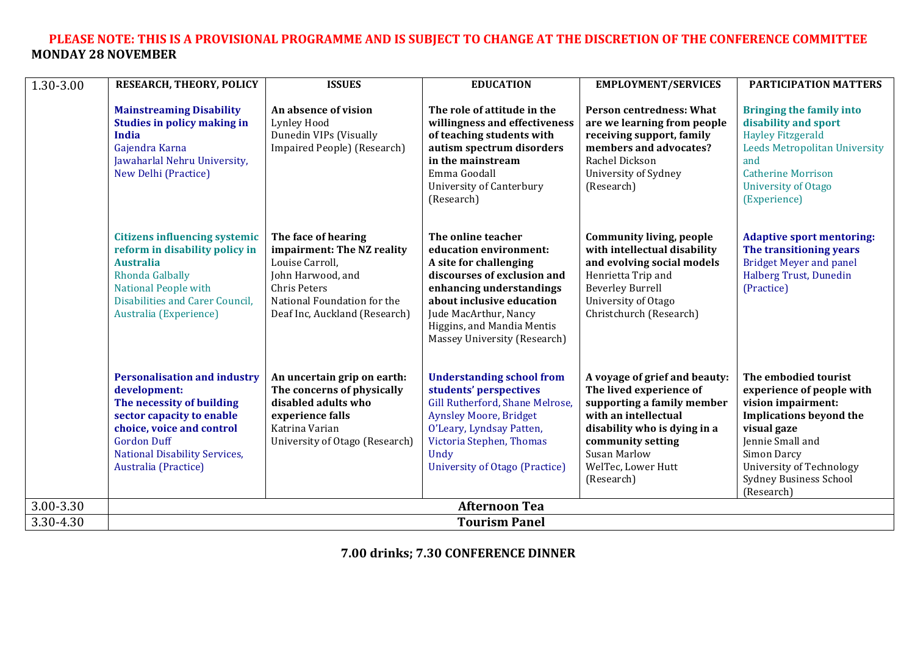#### PLEASE NOTE: THIS IS A PROVISIONAL PROGRAMME AND IS SUBJECT TO CHANGE AT THE DISCRETION OF THE CONFERENCE COMMITTEE **MONDAY 28 NOVEMBER**

| 1.30-3.00 | <b>RESEARCH, THEORY, POLICY</b>                                                                                                                                                                                                  | <b>ISSUES</b>                                                                                                                                                                    | <b>EDUCATION</b>                                                                                                                                                                                                                                      | <b>EMPLOYMENT/SERVICES</b>                                                                                                                                                                                                     | <b>PARTICIPATION MATTERS</b>                                                                                                                                                                                                                  |
|-----------|----------------------------------------------------------------------------------------------------------------------------------------------------------------------------------------------------------------------------------|----------------------------------------------------------------------------------------------------------------------------------------------------------------------------------|-------------------------------------------------------------------------------------------------------------------------------------------------------------------------------------------------------------------------------------------------------|--------------------------------------------------------------------------------------------------------------------------------------------------------------------------------------------------------------------------------|-----------------------------------------------------------------------------------------------------------------------------------------------------------------------------------------------------------------------------------------------|
|           | <b>Mainstreaming Disability</b><br><b>Studies in policy making in</b><br><b>India</b><br>Gajendra Karna<br>Jawaharlal Nehru University,<br><b>New Delhi (Practice)</b>                                                           | An absence of vision<br>Lynley Hood<br>Dunedin VIPs (Visually<br>Impaired People) (Research)                                                                                     | The role of attitude in the<br>willingness and effectiveness<br>of teaching students with<br>autism spectrum disorders<br>in the mainstream<br>Emma Goodall<br><b>University of Canterbury</b><br>(Research)                                          | <b>Person centredness: What</b><br>are we learning from people<br>receiving support, family<br>members and advocates?<br>Rachel Dickson<br>University of Sydney<br>(Research)                                                  | <b>Bringing the family into</b><br>disability and sport<br><b>Hayley Fitzgerald</b><br><b>Leeds Metropolitan University</b><br>and<br><b>Catherine Morrison</b><br><b>University of Otago</b><br>(Experience)                                 |
|           | <b>Citizens influencing systemic</b><br>reform in disability policy in<br><b>Australia</b><br>Rhonda Galbally<br><b>National People with</b><br>Disabilities and Carer Council,<br>Australia (Experience)                        | The face of hearing<br>impairment: The NZ reality<br>Louise Carroll,<br>John Harwood, and<br><b>Chris Peters</b><br>National Foundation for the<br>Deaf Inc, Auckland (Research) | The online teacher<br>education environment:<br>A site for challenging<br>discourses of exclusion and<br>enhancing understandings<br>about inclusive education<br>Jude MacArthur, Nancy<br>Higgins, and Mandia Mentis<br>Massey University (Research) | <b>Community living, people</b><br>with intellectual disability<br>and evolving social models<br>Henrietta Trip and<br><b>Beverley Burrell</b><br>University of Otago<br>Christchurch (Research)                               | <b>Adaptive sport mentoring:</b><br>The transitioning years<br><b>Bridget Meyer and panel</b><br><b>Halberg Trust, Dunedin</b><br>(Practice)                                                                                                  |
|           | <b>Personalisation and industry</b><br>development:<br>The necessity of building<br>sector capacity to enable<br>choice, voice and control<br><b>Gordon Duff</b><br><b>National Disability Services,</b><br>Australia (Practice) | An uncertain grip on earth:<br>The concerns of physically<br>disabled adults who<br>experience falls<br>Katrina Varian<br>University of Otago (Research)                         | <b>Understanding school from</b><br>students' perspectives<br>Gill Rutherford, Shane Melrose,<br><b>Aynsley Moore, Bridget</b><br>O'Leary, Lyndsay Patten,<br>Victoria Stephen, Thomas<br>Undy<br>University of Otago (Practice)                      | A voyage of grief and beauty:<br>The lived experience of<br>supporting a family member<br>with an intellectual<br>disability who is dying in a<br>community setting<br><b>Susan Marlow</b><br>WelTec, Lower Hutt<br>(Research) | The embodied tourist<br>experience of people with<br>vision impairment:<br><b>Implications beyond the</b><br>visual gaze<br>Jennie Small and<br>Simon Darcy<br><b>University of Technology</b><br><b>Sydney Business School</b><br>(Research) |
| 3.00-3.30 | <b>Afternoon Tea</b>                                                                                                                                                                                                             |                                                                                                                                                                                  |                                                                                                                                                                                                                                                       |                                                                                                                                                                                                                                |                                                                                                                                                                                                                                               |
| 3.30-4.30 | <b>Tourism Panel</b>                                                                                                                                                                                                             |                                                                                                                                                                                  |                                                                                                                                                                                                                                                       |                                                                                                                                                                                                                                |                                                                                                                                                                                                                                               |

**7.00 drinks;&7.30 CONFERENCE&DINNER**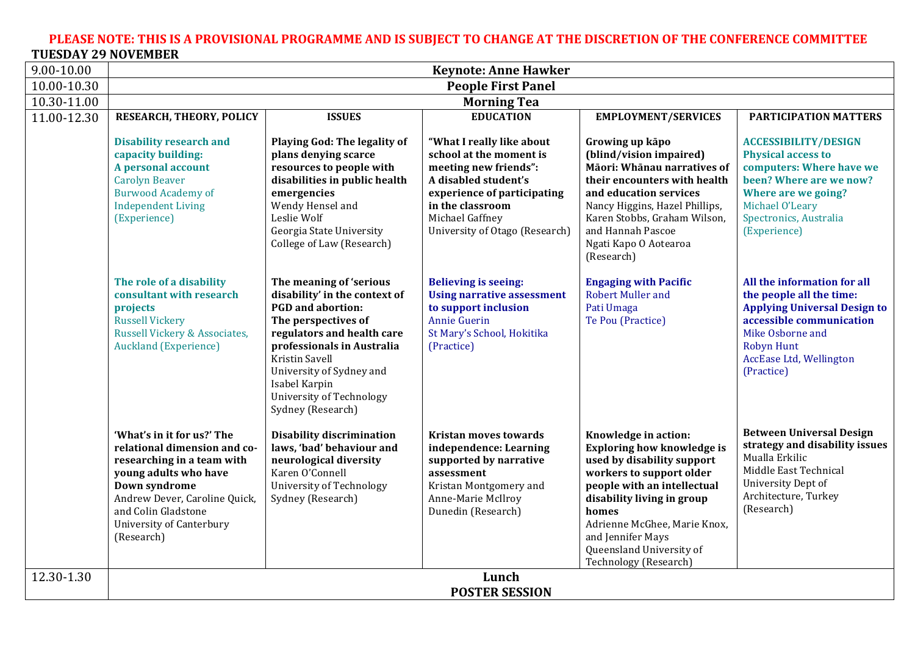#### PLEASE NOTE: THIS IS A PROVISIONAL PROGRAMME AND IS SUBJECT TO CHANGE AT THE DISCRETION OF THE CONFERENCE COMMITTEE **TUESDAY&29&NOVEMBER**

| 9.00-10.00                | <b>Keynote: Anne Hawker</b>                                                                                                                                                                                                          |                                                                                                                                                                                                                                                                                         |                                                                                                                                                                                                               |                                                                                                                                                                                                                                                                                                     |                                                                                                                                                                                                              |  |
|---------------------------|--------------------------------------------------------------------------------------------------------------------------------------------------------------------------------------------------------------------------------------|-----------------------------------------------------------------------------------------------------------------------------------------------------------------------------------------------------------------------------------------------------------------------------------------|---------------------------------------------------------------------------------------------------------------------------------------------------------------------------------------------------------------|-----------------------------------------------------------------------------------------------------------------------------------------------------------------------------------------------------------------------------------------------------------------------------------------------------|--------------------------------------------------------------------------------------------------------------------------------------------------------------------------------------------------------------|--|
| $\overline{10.00}$ -10.30 | <b>People First Panel</b>                                                                                                                                                                                                            |                                                                                                                                                                                                                                                                                         |                                                                                                                                                                                                               |                                                                                                                                                                                                                                                                                                     |                                                                                                                                                                                                              |  |
| 10.30-11.00               | <b>Morning Tea</b>                                                                                                                                                                                                                   |                                                                                                                                                                                                                                                                                         |                                                                                                                                                                                                               |                                                                                                                                                                                                                                                                                                     |                                                                                                                                                                                                              |  |
| 11.00-12.30               | RESEARCH, THEORY, POLICY                                                                                                                                                                                                             | <b>ISSUES</b>                                                                                                                                                                                                                                                                           | <b>EDUCATION</b>                                                                                                                                                                                              | <b>EMPLOYMENT/SERVICES</b>                                                                                                                                                                                                                                                                          | PARTICIPATION MATTERS                                                                                                                                                                                        |  |
|                           | <b>Disability research and</b><br>capacity building:<br>A personal account<br><b>Carolyn Beaver</b><br><b>Burwood Academy of</b><br><b>Independent Living</b><br>(Experience)                                                        | Playing God: The legality of<br>plans denying scarce<br>resources to people with<br>disabilities in public health<br>emergencies<br>Wendy Hensel and<br>Leslie Wolf<br>Georgia State University<br>College of Law (Research)                                                            | "What I really like about<br>school at the moment is<br>meeting new friends":<br>A disabled student's<br>experience of participating<br>in the classroom<br>Michael Gaffney<br>University of Otago (Research) | Growing up kāpo<br>(blind/vision impaired)<br>Māori: Whānau narratives of<br>their encounters with health<br>and education services<br>Nancy Higgins, Hazel Phillips,<br>Karen Stobbs, Graham Wilson,<br>and Hannah Pascoe<br>Ngati Kapo O Aotearoa<br>(Research)                                   | <b>ACCESSIBILITY/DESIGN</b><br><b>Physical access to</b><br>computers: Where have we<br>been? Where are we now?<br>Where are we going?<br>Michael O'Leary<br>Spectronics, Australia<br>(Experience)          |  |
|                           | The role of a disability<br>consultant with research<br>projects<br><b>Russell Vickery</b><br>Russell Vickery & Associates,<br><b>Auckland (Experience)</b>                                                                          | The meaning of 'serious<br>disability' in the context of<br><b>PGD</b> and abortion:<br>The perspectives of<br>regulators and health care<br>professionals in Australia<br>Kristin Savell<br>University of Sydney and<br>Isabel Karpin<br>University of Technology<br>Sydney (Research) | <b>Believing is seeing:</b><br><b>Using narrative assessment</b><br>to support inclusion<br><b>Annie Guerin</b><br>St Mary's School, Hokitika<br>(Practice)                                                   | <b>Engaging with Pacific</b><br><b>Robert Muller and</b><br>Pati Umaga<br>Te Pou (Practice)                                                                                                                                                                                                         | All the information for all<br>the people all the time:<br><b>Applying Universal Design to</b><br>accessible communication<br>Mike Osborne and<br><b>Robyn Hunt</b><br>AccEase Ltd, Wellington<br>(Practice) |  |
|                           | 'What's in it for us?' The<br>relational dimension and co-<br>researching in a team with<br>young adults who have<br>Down syndrome<br>Andrew Dever, Caroline Quick,<br>and Colin Gladstone<br>University of Canterbury<br>(Research) | Disability discrimination<br>laws, 'bad' behaviour and<br>neurological diversity<br>Karen O'Connell<br>University of Technology<br>Sydney (Research)                                                                                                                                    | <b>Kristan moves towards</b><br>independence: Learning<br>supported by narrative<br>assessment<br>Kristan Montgomery and<br>Anne-Marie McIlroy<br>Dunedin (Research)                                          | Knowledge in action:<br><b>Exploring how knowledge is</b><br>used by disability support<br>workers to support older<br>people with an intellectual<br>disability living in group<br>homes<br>Adrienne McGhee, Marie Knox,<br>and Jennifer Mays<br>Queensland University of<br>Technology (Research) | <b>Between Universal Design</b><br>strategy and disability issues<br>Mualla Erkilic<br>Middle East Technical<br>University Dept of<br>Architecture, Turkey<br>(Research)                                     |  |
| 12.30-1.30                | Lunch<br><b>POSTER SESSION</b>                                                                                                                                                                                                       |                                                                                                                                                                                                                                                                                         |                                                                                                                                                                                                               |                                                                                                                                                                                                                                                                                                     |                                                                                                                                                                                                              |  |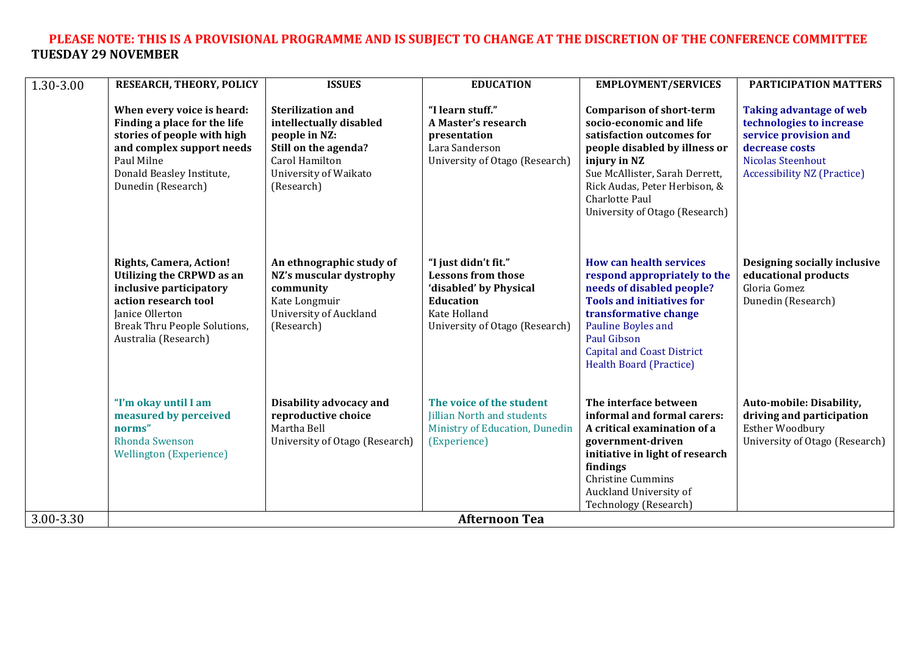# PLEASE NOTE: THIS IS A PROVISIONAL PROGRAMME AND IS SUBJECT TO CHANGE AT THE DISCRETION OF THE CONFERENCE COMMITTEE **TUESDAY&29&NOVEMBER**

| 1.30-3.00 | RESEARCH, THEORY, POLICY                                                                                                                                                                  | <b>ISSUES</b>                                                                                                                                         | <b>EDUCATION</b>                                                                                                                                  | <b>EMPLOYMENT/SERVICES</b>                                                                                                                                                                                                                                           | <b>PARTICIPATION MATTERS</b>                                                                                                                                            |
|-----------|-------------------------------------------------------------------------------------------------------------------------------------------------------------------------------------------|-------------------------------------------------------------------------------------------------------------------------------------------------------|---------------------------------------------------------------------------------------------------------------------------------------------------|----------------------------------------------------------------------------------------------------------------------------------------------------------------------------------------------------------------------------------------------------------------------|-------------------------------------------------------------------------------------------------------------------------------------------------------------------------|
|           | When every voice is heard:<br>Finding a place for the life<br>stories of people with high<br>and complex support needs<br>Paul Milne<br>Donald Beasley Institute,<br>Dunedin (Research)   | <b>Sterilization and</b><br>intellectually disabled<br>people in NZ:<br>Still on the agenda?<br>Carol Hamilton<br>University of Waikato<br>(Research) | "I learn stuff."<br>A Master's research<br>presentation<br>Lara Sanderson<br>University of Otago (Research)                                       | <b>Comparison of short-term</b><br>socio-economic and life<br>satisfaction outcomes for<br>people disabled by illness or<br>injury in NZ<br>Sue McAllister, Sarah Derrett,<br>Rick Audas, Peter Herbison, &<br>Charlotte Paul<br>University of Otago (Research)      | <b>Taking advantage of web</b><br>technologies to increase<br>service provision and<br>decrease costs<br><b>Nicolas Steenhout</b><br><b>Accessibility NZ (Practice)</b> |
|           | <b>Rights, Camera, Action!</b><br>Utilizing the CRPWD as an<br>inclusive participatory<br>action research tool<br>Janice Ollerton<br>Break Thru People Solutions,<br>Australia (Research) | An ethnographic study of<br>NZ's muscular dystrophy<br>community<br>Kate Longmuir<br><b>University of Auckland</b><br>(Research)                      | "I just didn't fit."<br><b>Lessons from those</b><br>'disabled' by Physical<br><b>Education</b><br>Kate Holland<br>University of Otago (Research) | <b>How can health services</b><br>respond appropriately to the<br>needs of disabled people?<br><b>Tools and initiatives for</b><br>transformative change<br>Pauline Boyles and<br>Paul Gibson<br><b>Capital and Coast District</b><br><b>Health Board (Practice)</b> | Designing socially inclusive<br>educational products<br>Gloria Gomez<br>Dunedin (Research)                                                                              |
|           | "I'm okay until I am<br>measured by perceived<br>norms"<br>Rhonda Swenson<br><b>Wellington (Experience)</b>                                                                               | Disability advocacy and<br>reproductive choice<br>Martha Bell<br>University of Otago (Research)                                                       | The voice of the student<br>Jillian North and students<br>Ministry of Education, Dunedin<br>(Experience)                                          | The interface between<br>informal and formal carers:<br>A critical examination of a<br>government-driven<br>initiative in light of research<br>findings<br><b>Christine Cummins</b><br>Auckland University of<br>Technology (Research)                               | Auto-mobile: Disability,<br>driving and participation<br>Esther Woodbury<br>University of Otago (Research)                                                              |
| 3.00-3.30 | <b>Afternoon Tea</b>                                                                                                                                                                      |                                                                                                                                                       |                                                                                                                                                   |                                                                                                                                                                                                                                                                      |                                                                                                                                                                         |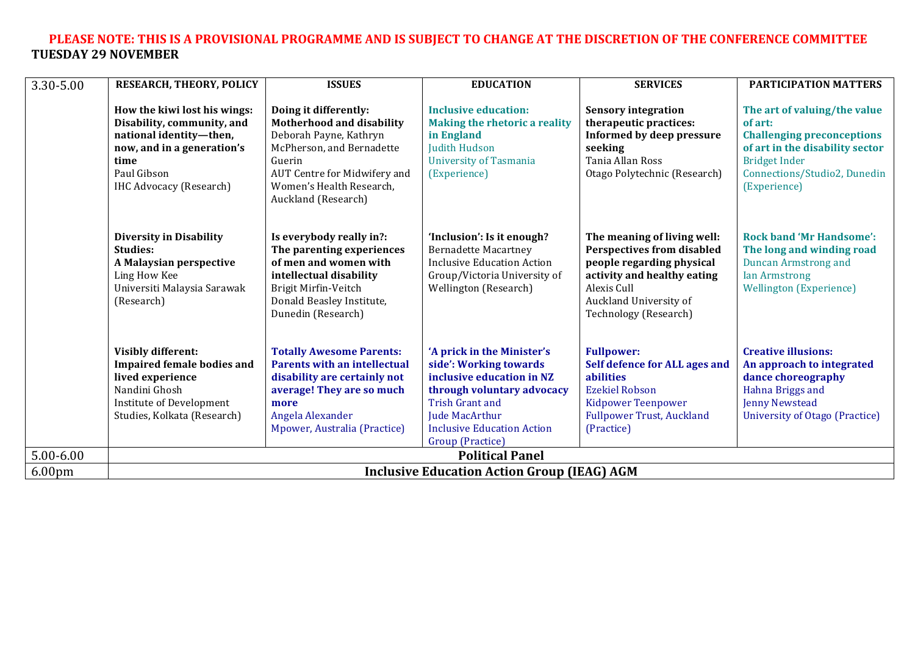# PLEASE NOTE: THIS IS A PROVISIONAL PROGRAMME AND IS SUBJECT TO CHANGE AT THE DISCRETION OF THE CONFERENCE COMMITTEE **TUESDAY&29&NOVEMBER**

| 3.30-5.00          | <b>RESEARCH, THEORY, POLICY</b>                                                                                                                                              | <b>ISSUES</b>                                                                                                                                                                                          | <b>EDUCATION</b>                                                                                                                                                                                                            | <b>SERVICES</b>                                                                                                                                                                                | PARTICIPATION MATTERS                                                                                                                                                                   |
|--------------------|------------------------------------------------------------------------------------------------------------------------------------------------------------------------------|--------------------------------------------------------------------------------------------------------------------------------------------------------------------------------------------------------|-----------------------------------------------------------------------------------------------------------------------------------------------------------------------------------------------------------------------------|------------------------------------------------------------------------------------------------------------------------------------------------------------------------------------------------|-----------------------------------------------------------------------------------------------------------------------------------------------------------------------------------------|
|                    | How the kiwi lost his wings:<br>Disability, community, and<br>national identity-then,<br>now, and in a generation's<br>time<br>Paul Gibson<br><b>IHC Advocacy (Research)</b> | Doing it differently:<br>Motherhood and disability<br>Deborah Payne, Kathryn<br>McPherson, and Bernadette<br>Guerin<br>AUT Centre for Midwifery and<br>Women's Health Research,<br>Auckland (Research) | <b>Inclusive education:</b><br><b>Making the rhetoric a reality</b><br>in England<br>Judith Hudson<br><b>University of Tasmania</b><br>(Experience)                                                                         | <b>Sensory integration</b><br>therapeutic practices:<br>Informed by deep pressure<br>seeking<br>Tania Allan Ross<br>Otago Polytechnic (Research)                                               | The art of valuing/the value<br>of art:<br><b>Challenging preconceptions</b><br>of art in the disability sector<br><b>Bridget Inder</b><br>Connections/Studio2, Dunedin<br>(Experience) |
|                    | <b>Diversity in Disability</b><br>Studies:<br>A Malaysian perspective<br>Ling How Kee<br>Universiti Malaysia Sarawak<br>(Research)                                           | Is everybody really in?:<br>The parenting experiences<br>of men and women with<br>intellectual disability<br>Brigit Mirfin-Veitch<br>Donald Beasley Institute,<br>Dunedin (Research)                   | 'Inclusion': Is it enough?<br><b>Bernadette Macartney</b><br><b>Inclusive Education Action</b><br>Group/Victoria University of<br>Wellington (Research)                                                                     | The meaning of living well:<br><b>Perspectives from disabled</b><br>people regarding physical<br>activity and healthy eating<br>Alexis Cull<br>Auckland University of<br>Technology (Research) | <b>Rock band 'Mr Handsome':</b><br>The long and winding road<br><b>Duncan Armstrong and</b><br><b>Ian Armstrong</b><br><b>Wellington (Experience)</b>                                   |
|                    | <b>Visibly different:</b><br><b>Impaired female bodies and</b><br>lived experience<br>Nandini Ghosh<br>Institute of Development<br>Studies, Kolkata (Research)               | <b>Totally Awesome Parents:</b><br><b>Parents with an intellectual</b><br>disability are certainly not<br>average! They are so much<br>more<br>Angela Alexander<br>Mpower, Australia (Practice)        | 'A prick in the Minister's<br>side': Working towards<br>inclusive education in NZ<br>through voluntary advocacy<br><b>Trish Grant and</b><br><b>Jude MacArthur</b><br><b>Inclusive Education Action</b><br>Group (Practice) | <b>Fullpower:</b><br>Self defence for ALL ages and<br>abilities<br><b>Ezekiel Robson</b><br><b>Kidpower Teenpower</b><br><b>Fullpower Trust, Auckland</b><br>(Practice)                        | <b>Creative illusions:</b><br>An approach to integrated<br>dance choreography<br>Hahna Briggs and<br><b>Jenny Newstead</b><br>University of Otago (Practice)                            |
| 5.00-6.00          | <b>Political Panel</b>                                                                                                                                                       |                                                                                                                                                                                                        |                                                                                                                                                                                                                             |                                                                                                                                                                                                |                                                                                                                                                                                         |
| 6.00 <sub>pm</sub> | <b>Inclusive Education Action Group (IEAG) AGM</b>                                                                                                                           |                                                                                                                                                                                                        |                                                                                                                                                                                                                             |                                                                                                                                                                                                |                                                                                                                                                                                         |